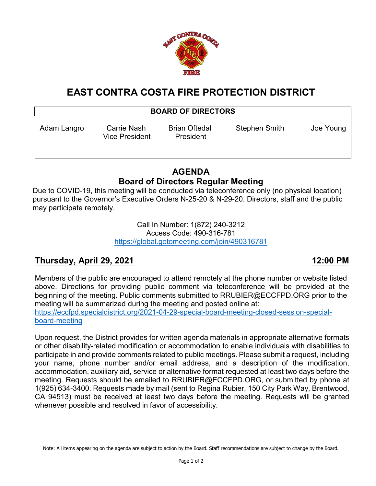

# **EAST CONTRA COSTA FIRE PROTECTION DISTRICT**

#### **BOARD OF DIRECTORS**

Vice President President

Adam Langro Carrie Nash Brian Oftedal Stephen Smith Joe Young

## **AGENDA Board of Directors Regular Meeting**

Due to COVID-19, this meeting will be conducted via teleconference only (no physical location) pursuant to the Governor's Executive Orders N-25-20 & N-29-20. Directors, staff and the public may participate remotely.

> Call In Number: 1(872) 240-3212 Access Code: 490-316-781 <https://global.gotomeeting.com/join/490316781>

### **Thursday, April 29, 2021 12:00 PM**

Members of the public are encouraged to attend remotely at the phone number or website listed above. Directions for providing public comment via teleconference will be provided at the beginning of the meeting. Public comments submitted to RRUBIER@ECCFPD.ORG prior to the meeting will be summarized during the meeting and posted online at: [https://eccfpd.specialdistrict.org/2021-04-29-special-board-meeting-closed-session-special](https://eccfpd.specialdistrict.org/2021-04-29-special-board-meeting-closed-session-special-board-meeting)[board-meeting](https://eccfpd.specialdistrict.org/2021-04-29-special-board-meeting-closed-session-special-board-meeting)

Upon request, the District provides for written agenda materials in appropriate alternative formats or other disability-related modification or accommodation to enable individuals with disabilities to participate in and provide comments related to public meetings. Please submit a request, including your name, phone number and/or email address, and a description of the modification, accommodation, auxiliary aid, service or alternative format requested at least two days before the meeting. Requests should be emailed to RRUBIER@ECCFPD.ORG, or submitted by phone at 1(925) 634-3400. Requests made by mail (sent to Regina Rubier, 150 City Park Way, Brentwood, CA 94513) must be received at least two days before the meeting. Requests will be granted whenever possible and resolved in favor of accessibility.